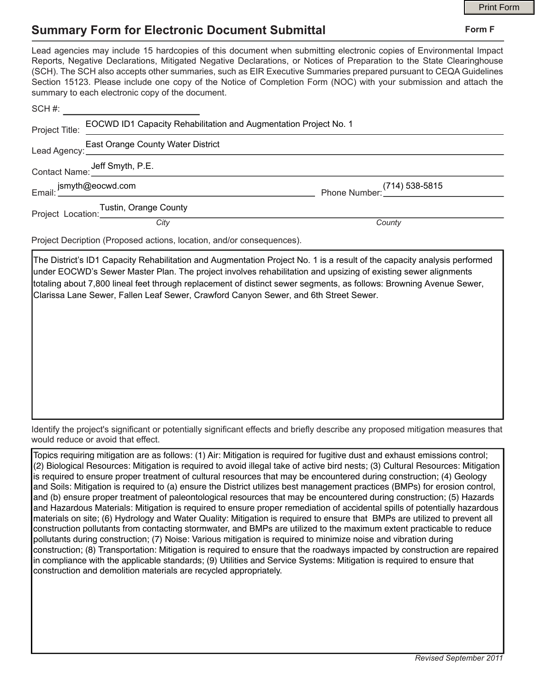## **Summary Form for Electronic Document Submittal**

|                                                                                                                                                                                                                                                                                                                                                                                                                                                                                                                                           | <b>Print Form</b> |
|-------------------------------------------------------------------------------------------------------------------------------------------------------------------------------------------------------------------------------------------------------------------------------------------------------------------------------------------------------------------------------------------------------------------------------------------------------------------------------------------------------------------------------------------|-------------------|
| <b>Summary Form for Electronic Document Submittal</b>                                                                                                                                                                                                                                                                                                                                                                                                                                                                                     | Form F            |
| Lead agencies may include 15 hardcopies of this document when submitting electronic copies of Environmental Impact<br>Reports, Negative Declarations, Mitigated Negative Declarations, or Notices of Preparation to the State Clearinghouse<br>(SCH). The SCH also accepts other summaries, such as EIR Executive Summaries prepared pursuant to CEQA Guidelines<br>Section 15123. Please include one copy of the Notice of Completion Form (NOC) with your submission and attach the<br>summary to each electronic copy of the document. |                   |
| SCH #:                                                                                                                                                                                                                                                                                                                                                                                                                                                                                                                                    |                   |
| Project Title: EOCWD ID1 Capacity Rehabilitation and Augmentation Project No. 1                                                                                                                                                                                                                                                                                                                                                                                                                                                           |                   |
|                                                                                                                                                                                                                                                                                                                                                                                                                                                                                                                                           |                   |
| Contact Name: Jeff Smyth, P.E.                                                                                                                                                                                                                                                                                                                                                                                                                                                                                                            |                   |
|                                                                                                                                                                                                                                                                                                                                                                                                                                                                                                                                           |                   |
|                                                                                                                                                                                                                                                                                                                                                                                                                                                                                                                                           |                   |
| Project Location: Tustin, Orange County<br>City                                                                                                                                                                                                                                                                                                                                                                                                                                                                                           | County            |
| Project Decription (Proposed actions, location, and/or consequences).                                                                                                                                                                                                                                                                                                                                                                                                                                                                     |                   |

The District's ID1 Capacity Rehabilitation and Augmentation Project No. 1 is a result of the capacity analysis performed under EOCWD's Sewer Master Plan. The project involves rehabilitation and upsizing of existing sewer alignments totaling about 7,800 lineal feet through replacement of distinct sewer segments, as follows: Browning Avenue Sewer, Clarissa Lane Sewer, Fallen Leaf Sewer, Crawford Canyon Sewer, and 6th Street Sewer.

Identify the project's signifcant or potentially signifcant effects and briefy describe any proposed mitigation measures that would reduce or avoid that effect.

Topics requiring mitigation are as follows: (1) Air: Mitigation is required for fugitive dust and exhaust emissions control; (2) Biological Resources: Mitigation is required to avoid illegal take of active bird nests; (3) Cultural Resources: Mitigation is required to ensure proper treatment of cultural resources that may be encountered during construction; (4) Geology and Soils: Mitigation is required to (a) ensure the District utilizes best management practices (BMPs) for erosion control, and (b) ensure proper treatment of paleontological resources that may be encountered during construction; (5) Hazards and Hazardous Materials: Mitigation is required to ensure proper remediation of accidental spills of potentially hazardous materials on site; (6) Hydrology and Water Quality: Mitigation is required to ensure that BMPs are utilized to prevent all construction pollutants from contacting stormwater, and BMPs are utilized to the maximum extent practicable to reduce pollutants during construction; (7) Noise: Various mitigation is required to minimize noise and vibration during construction; (8) Transportation: Mitigation is required to ensure that the roadways impacted by construction are repaired in compliance with the applicable standards; (9) Utilities and Service Systems: Mitigation is required to ensure that construction and demolition materials are recycled appropriately.